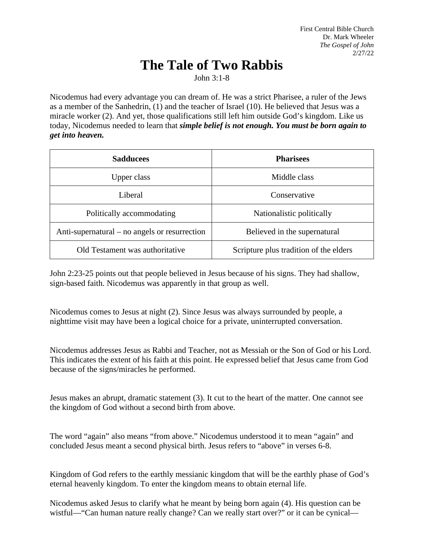First Central Bible Church Dr. Mark Wheeler *The Gospel of John* 2/27/22

# **The Tale of Two Rabbis**

 $John 3:1-8$ 

Nicodemus had every advantage you can dream of. He was a strict Pharisee, a ruler of the Jews as a member of the Sanhedrin, (1) and the teacher of Israel (10). He believed that Jesus was a miracle worker (2). And yet, those qualifications still left him outside God's kingdom. Like us today, Nicodemus needed to learn that *simple belief is not enough. You must be born again to get into heaven.*

| <b>Sadducees</b>                              | <b>Pharisees</b>                       |
|-----------------------------------------------|----------------------------------------|
| Upper class                                   | Middle class                           |
| Liberal                                       | Conservative                           |
| Politically accommodating                     | Nationalistic politically              |
| Anti-supernatural – no angels or resurrection | Believed in the supernatural           |
| Old Testament was authoritative               | Scripture plus tradition of the elders |

John 2:23-25 points out that people believed in Jesus because of his signs. They had shallow, sign-based faith. Nicodemus was apparently in that group as well.

Nicodemus comes to Jesus at night (2). Since Jesus was always surrounded by people, a nighttime visit may have been a logical choice for a private, uninterrupted conversation.

Nicodemus addresses Jesus as Rabbi and Teacher, not as Messiah or the Son of God or his Lord. This indicates the extent of his faith at this point. He expressed belief that Jesus came from God because of the signs/miracles he performed.

Jesus makes an abrupt, dramatic statement (3). It cut to the heart of the matter. One cannot see the kingdom of God without a second birth from above.

The word "again" also means "from above." Nicodemus understood it to mean "again" and concluded Jesus meant a second physical birth. Jesus refers to "above" in verses 6-8.

Kingdom of God refers to the earthly messianic kingdom that will be the earthly phase of God's eternal heavenly kingdom. To enter the kingdom means to obtain eternal life.

Nicodemus asked Jesus to clarify what he meant by being born again (4). His question can be wistful—"Can human nature really change? Can we really start over?" or it can be cynical